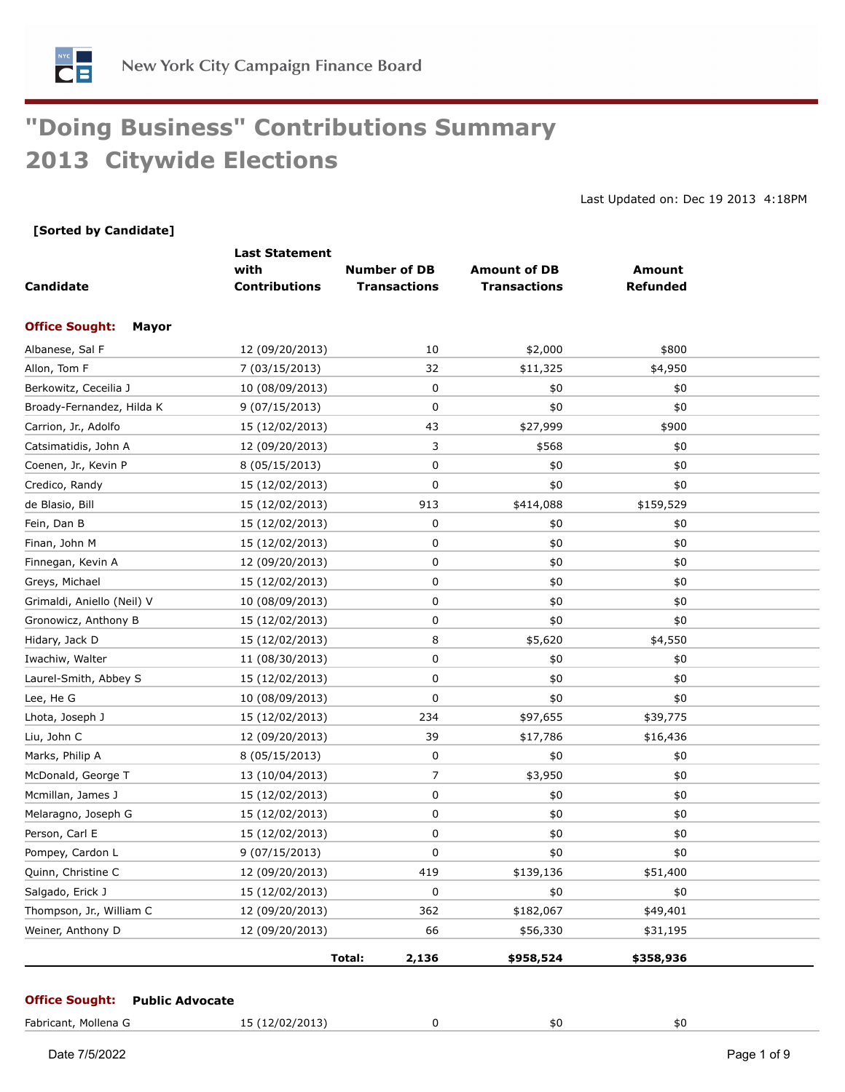

# **"Doing Business" Contributions Summary 2013 Citywide Elections**

Last Updated on: Dec 19 2013 4:18PM

#### **[Sorted by Candidate]**

| Candidate                             | <b>Last Statement</b><br>with<br><b>Contributions</b> | <b>Number of DB</b><br><b>Transactions</b> | <b>Amount of DB</b><br><b>Transactions</b> | <b>Amount</b><br><b>Refunded</b> |  |
|---------------------------------------|-------------------------------------------------------|--------------------------------------------|--------------------------------------------|----------------------------------|--|
| <b>Office Sought:</b><br><b>Mayor</b> |                                                       |                                            |                                            |                                  |  |
| Albanese, Sal F                       | 12 (09/20/2013)                                       | 10                                         | \$2,000                                    | \$800                            |  |
| Allon, Tom F                          | 7 (03/15/2013)                                        | 32                                         | \$11,325                                   | \$4,950                          |  |
| Berkowitz, Ceceilia J                 | 10 (08/09/2013)                                       | 0                                          | \$0                                        | \$0                              |  |
| Broady-Fernandez, Hilda K             | 9 (07/15/2013)                                        | $\mathbf 0$                                | \$0                                        | \$0                              |  |
| Carrion, Jr., Adolfo                  | 15 (12/02/2013)                                       | 43                                         | \$27,999                                   | \$900                            |  |
| Catsimatidis, John A                  | 12 (09/20/2013)                                       | 3                                          | \$568                                      | \$0                              |  |
| Coenen, Jr., Kevin P                  | 8 (05/15/2013)                                        | 0                                          | \$0                                        | \$0                              |  |
| Credico, Randy                        | 15 (12/02/2013)                                       | 0                                          | \$0                                        | \$0                              |  |
| de Blasio, Bill                       | 15 (12/02/2013)                                       | 913                                        | \$414,088                                  | \$159,529                        |  |
| Fein, Dan B                           | 15 (12/02/2013)                                       | 0                                          | \$0                                        | \$0                              |  |
| Finan, John M                         | 15 (12/02/2013)                                       | 0                                          | \$0                                        | \$0                              |  |
| Finnegan, Kevin A                     | 12 (09/20/2013)                                       | $\mathbf 0$                                | $$0$$                                      | \$0                              |  |
| Greys, Michael                        | 15 (12/02/2013)                                       | 0                                          | \$0                                        | \$0                              |  |
| Grimaldi, Aniello (Neil) V            | 10 (08/09/2013)                                       | 0                                          | \$0                                        | \$0                              |  |
| Gronowicz, Anthony B                  | 15 (12/02/2013)                                       | 0                                          | \$0                                        | \$0                              |  |
| Hidary, Jack D                        | 15 (12/02/2013)                                       | 8                                          | \$5,620                                    | \$4,550                          |  |
| Iwachiw, Walter                       | 11 (08/30/2013)                                       | 0                                          | \$0                                        | \$0                              |  |
| Laurel-Smith, Abbey S                 | 15 (12/02/2013)                                       | 0                                          | \$0                                        | \$0                              |  |
| Lee, He G                             | 10 (08/09/2013)                                       | 0                                          | \$0                                        | \$0                              |  |
| Lhota, Joseph J                       | 15 (12/02/2013)                                       | 234                                        | \$97,655                                   | \$39,775                         |  |
| Liu, John C                           | 12 (09/20/2013)                                       | 39                                         | \$17,786                                   | \$16,436                         |  |
| Marks, Philip A                       | 8 (05/15/2013)                                        | 0                                          | \$0                                        | \$0                              |  |
| McDonald, George T                    | 13 (10/04/2013)                                       | $\overline{7}$                             | \$3,950                                    | \$0                              |  |
| Mcmillan, James J                     | 15 (12/02/2013)                                       | 0                                          | \$0                                        | \$0                              |  |
| Melaragno, Joseph G                   | 15 (12/02/2013)                                       | 0                                          | \$0                                        | \$0                              |  |
| Person, Carl E                        | 15 (12/02/2013)                                       | 0                                          | \$0                                        | \$0                              |  |
| Pompey, Cardon L                      | 9 (07/15/2013)                                        | 0                                          | \$0                                        | \$0                              |  |
| Quinn, Christine C                    | 12 (09/20/2013)                                       | 419                                        | \$139,136                                  | \$51,400                         |  |
| Salgado, Erick J                      | 15 (12/02/2013)                                       | 0                                          | \$0                                        | \$0                              |  |
| Thompson, Jr., William C              | 12 (09/20/2013)                                       | 362                                        | \$182,067                                  | \$49,401                         |  |
| Weiner, Anthony D                     | 12 (09/20/2013)                                       | 66                                         | \$56,330                                   | \$31,195                         |  |
|                                       |                                                       | Total:<br>2,136                            | \$958,524                                  | \$358,936                        |  |

#### **Office Sought: Public Advocate**

| Fabricant,<br>Mollena ( | 5(12/02/2013)<br>____<br>___ |  | 50 | 5Ο |
|-------------------------|------------------------------|--|----|----|
|-------------------------|------------------------------|--|----|----|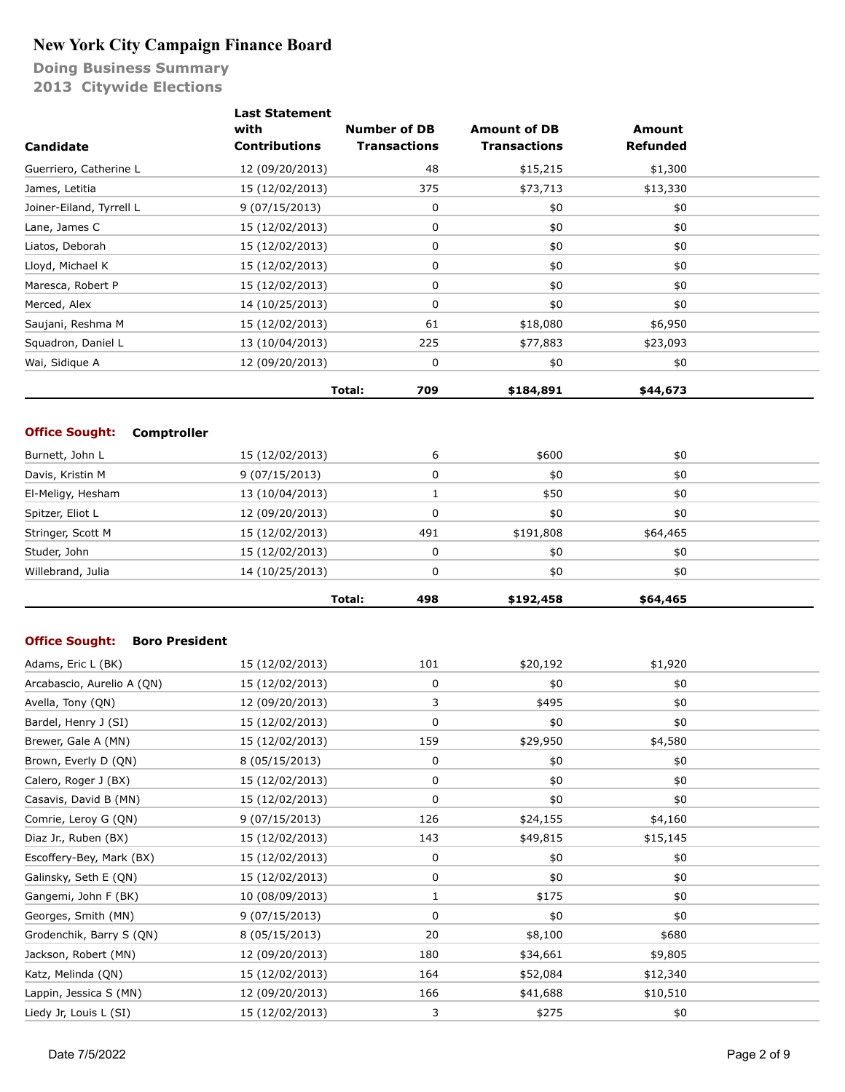|                                                | <b>Last Statement</b> |                     |                     |                 |  |
|------------------------------------------------|-----------------------|---------------------|---------------------|-----------------|--|
|                                                | with                  | <b>Number of DB</b> | <b>Amount of DB</b> | <b>Amount</b>   |  |
| Candidate                                      | <b>Contributions</b>  | <b>Transactions</b> | <b>Transactions</b> | <b>Refunded</b> |  |
| Guerriero, Catherine L                         | 12 (09/20/2013)       | 48                  | \$15,215            | \$1,300         |  |
| James, Letitia                                 | 15 (12/02/2013)       | 375                 | \$73,713            | \$13,330        |  |
| Joiner-Eiland, Tyrrell L                       | 9(07/15/2013)         | 0                   | \$0                 | \$0             |  |
| Lane, James C                                  | 15 (12/02/2013)       | 0                   | \$0                 | \$0             |  |
| Liatos, Deborah                                | 15 (12/02/2013)       | 0                   | \$0                 | \$0             |  |
| Lloyd, Michael K                               | 15 (12/02/2013)       | 0                   | \$0                 | \$0             |  |
| Maresca, Robert P                              | 15 (12/02/2013)       | 0                   | \$0                 | \$0             |  |
| Merced, Alex                                   | 14 (10/25/2013)       | 0                   | \$0                 | \$0             |  |
| Saujani, Reshma M                              | 15 (12/02/2013)       | 61                  | \$18,080            | \$6,950         |  |
| Squadron, Daniel L                             | 13 (10/04/2013)       | 225                 | \$77,883            | \$23,093        |  |
| Wai, Sidique A                                 | 12 (09/20/2013)       | 0                   | \$0                 | \$0             |  |
|                                                |                       | Total:<br>709       | \$184,891           | \$44,673        |  |
|                                                |                       |                     |                     |                 |  |
| <b>Office Sought:</b><br><b>Comptroller</b>    |                       |                     |                     |                 |  |
| Burnett, John L                                | 15 (12/02/2013)       | 6                   | \$600               | \$0             |  |
| Davis, Kristin M                               | 9(07/15/2013)         | 0                   | \$0                 | \$0             |  |
| El-Meligy, Hesham                              | 13 (10/04/2013)       | 1                   | \$50                | \$0             |  |
| Spitzer, Eliot L                               | 12 (09/20/2013)       | 0                   | \$0                 | \$0             |  |
| Stringer, Scott M                              | 15 (12/02/2013)       | 491                 | \$191,808           | \$64,465        |  |
| Studer, John                                   | 15 (12/02/2013)       | 0                   | \$0                 | \$0             |  |
| Willebrand, Julia                              | 14 (10/25/2013)       | 0                   | \$0                 | \$0             |  |
|                                                |                       | 498<br>Total:       | \$192,458           | \$64,465        |  |
|                                                |                       |                     |                     |                 |  |
| <b>Office Sought:</b><br><b>Boro President</b> |                       |                     |                     |                 |  |
| Adams, Eric L (BK)                             | 15 (12/02/2013)       | 101                 | \$20,192            | \$1,920         |  |
| Arcabascio, Aurelio A (QN)                     | 15 (12/02/2013)       | 0                   | \$0                 | \$0             |  |
| Avella, Tony (QN)                              | 12 (09/20/2013)       | 3                   | \$495               | \$0             |  |
| Bardel, Henry J (SI)                           | 15 (12/02/2013)       | 0                   | $$0$$               | $$0$$           |  |
| Brewer, Gale A (MN)                            | 15 (12/02/2013)       | 159                 | \$29,950            | \$4,580         |  |
| Brown, Everly D (QN)                           | 8 (05/15/2013)        | 0                   | \$0                 | \$0             |  |
| Calero, Roger J (BX)                           | 15 (12/02/2013)       | 0                   | \$0                 | \$0             |  |
| Casavis, David B (MN)                          | 15 (12/02/2013)       | 0                   | \$0                 | \$0             |  |
| Comrie, Leroy G (QN)                           | 9 (07/15/2013)        | 126                 | \$24,155            | \$4,160         |  |
| Diaz Jr., Ruben (BX)                           | 15 (12/02/2013)       | 143                 | \$49,815            | \$15,145        |  |
| Escoffery-Bey, Mark (BX)                       | 15 (12/02/2013)       | 0                   | \$0                 | \$0             |  |
| Galinsky, Seth E (QN)                          | 15 (12/02/2013)       | 0                   | \$0                 | \$0             |  |
| Gangemi, John F (BK)                           | 10 (08/09/2013)       | 1                   | \$175               | \$0             |  |
| Georges, Smith (MN)                            | 9 (07/15/2013)        | 0                   | \$0                 | \$0             |  |
| Grodenchik, Barry S (QN)                       | 8 (05/15/2013)        | 20                  | \$8,100             | \$680           |  |
| Jackson, Robert (MN)                           | 12 (09/20/2013)       | 180                 | \$34,661            | \$9,805         |  |
| Katz, Melinda (QN)                             | 15 (12/02/2013)       | 164                 | \$52,084            | \$12,340        |  |
| Lappin, Jessica S (MN)                         | 12 (09/20/2013)       | 166                 | \$41,688            | \$10,510        |  |
| Liedy Jr, Louis L (SI)                         | 15 (12/02/2013)       | 3                   | \$275               | \$0             |  |
|                                                |                       |                     |                     |                 |  |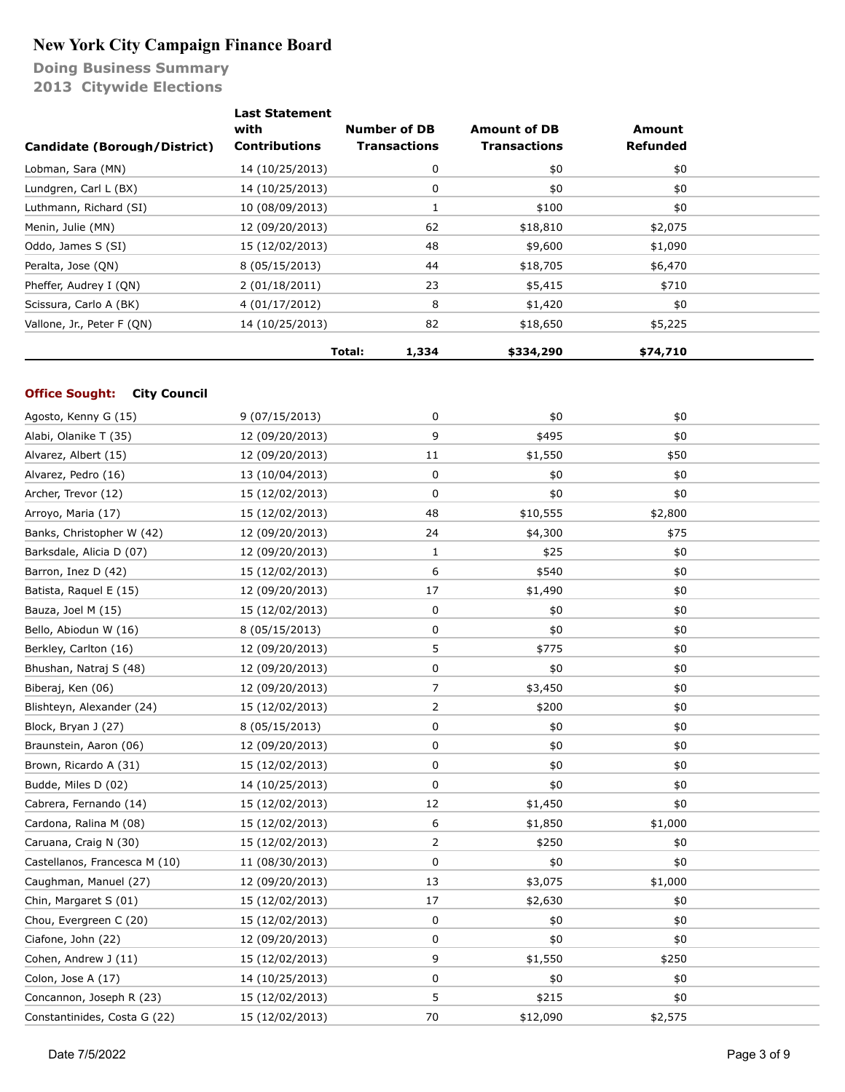**Doing Business Summary 2013 Citywide Elections**

| Candidate (Borough/District) | <b>Last Statement</b><br>with<br><b>Contributions</b> | <b>Number of DB</b><br><b>Transactions</b> | <b>Amount of DB</b><br><b>Transactions</b> | Amount<br><b>Refunded</b> |  |
|------------------------------|-------------------------------------------------------|--------------------------------------------|--------------------------------------------|---------------------------|--|
| Lobman, Sara (MN)            | 14 (10/25/2013)                                       | 0                                          | \$0                                        | \$0                       |  |
| Lundgren, Carl L (BX)        | 14 (10/25/2013)                                       | 0                                          | \$0                                        | \$0                       |  |
| Luthmann, Richard (SI)       | 10 (08/09/2013)                                       |                                            | \$100                                      | \$0                       |  |
| Menin, Julie (MN)            | 12 (09/20/2013)                                       | 62                                         | \$18,810                                   | \$2,075                   |  |
| Oddo, James S (SI)           | 15 (12/02/2013)                                       | 48                                         | \$9,600                                    | \$1,090                   |  |
| Peralta, Jose (ON)           | 8 (05/15/2013)                                        | 44                                         | \$18,705                                   | \$6,470                   |  |
| Pheffer, Audrey I (QN)       | 2(01/18/2011)                                         | 23                                         | \$5,415                                    | \$710                     |  |
| Scissura, Carlo A (BK)       | 4 (01/17/2012)                                        | 8                                          | \$1,420                                    | \$0                       |  |
| Vallone, Jr., Peter F (QN)   | 14 (10/25/2013)                                       | 82                                         | \$18,650                                   | \$5,225                   |  |
|                              |                                                       | Total:<br>1,334                            | \$334,290                                  | \$74,710                  |  |

#### **Office Sought: City Council**

| Agosto, Kenny G (15)          | 9 (07/15/2013)  | 0              | \$0      | \$0     |  |
|-------------------------------|-----------------|----------------|----------|---------|--|
| Alabi, Olanike T (35)         | 12 (09/20/2013) | 9              | \$495    | \$0     |  |
| Alvarez, Albert (15)          | 12 (09/20/2013) | 11             | \$1,550  | \$50    |  |
| Alvarez, Pedro (16)           | 13 (10/04/2013) | 0              | \$0      | \$0     |  |
| Archer, Trevor (12)           | 15 (12/02/2013) | $\mathbf 0$    | \$0      | \$0     |  |
| Arroyo, Maria (17)            | 15 (12/02/2013) | 48             | \$10,555 | \$2,800 |  |
| Banks, Christopher W (42)     | 12 (09/20/2013) | 24             | \$4,300  | \$75    |  |
| Barksdale, Alicia D (07)      | 12 (09/20/2013) | 1              | \$25     | \$0     |  |
| Barron, Inez D (42)           | 15 (12/02/2013) | 6              | \$540    | \$0     |  |
| Batista, Raquel E (15)        | 12 (09/20/2013) | 17             | \$1,490  | \$0     |  |
| Bauza, Joel M (15)            | 15 (12/02/2013) | $\pmb{0}$      | \$0      | \$0     |  |
| Bello, Abiodun W (16)         | 8 (05/15/2013)  | $\pmb{0}$      | \$0      | \$0     |  |
| Berkley, Carlton (16)         | 12 (09/20/2013) | 5              | \$775    | \$0     |  |
| Bhushan, Natraj S (48)        | 12 (09/20/2013) | 0              | \$0      | \$0     |  |
| Biberaj, Ken (06)             | 12 (09/20/2013) | 7              | \$3,450  | \$0     |  |
| Blishteyn, Alexander (24)     | 15 (12/02/2013) | $\overline{2}$ | \$200    | \$0     |  |
| Block, Bryan J (27)           | 8 (05/15/2013)  | $\pmb{0}$      | \$0      | \$0     |  |
| Braunstein, Aaron (06)        | 12 (09/20/2013) | $\pmb{0}$      | \$0      | \$0     |  |
| Brown, Ricardo A (31)         | 15 (12/02/2013) | 0              | \$0      | \$0     |  |
| Budde, Miles D (02)           | 14 (10/25/2013) | $\mathbf 0$    | \$0      | \$0     |  |
| Cabrera, Fernando (14)        | 15 (12/02/2013) | 12             | \$1,450  | \$0     |  |
| Cardona, Ralina M (08)        | 15 (12/02/2013) | 6              | \$1,850  | \$1,000 |  |
| Caruana, Craig N (30)         | 15 (12/02/2013) | $\overline{2}$ | \$250    | \$0     |  |
| Castellanos, Francesca M (10) | 11 (08/30/2013) | 0              | \$0      | \$0     |  |
| Caughman, Manuel (27)         | 12 (09/20/2013) | 13             | \$3,075  | \$1,000 |  |
| Chin, Margaret S (01)         | 15 (12/02/2013) | 17             | \$2,630  | \$0     |  |
| Chou, Evergreen C (20)        | 15 (12/02/2013) | $\pmb{0}$      | \$0      | \$0     |  |
| Ciafone, John (22)            | 12 (09/20/2013) | 0              | \$0      | \$0     |  |
| Cohen, Andrew J (11)          | 15 (12/02/2013) | 9              | \$1,550  | \$250   |  |
| Colon, Jose A (17)            | 14 (10/25/2013) | 0              | \$0      | \$0     |  |
| Concannon, Joseph R (23)      | 15 (12/02/2013) | 5              | \$215    | \$0     |  |
| Constantinides, Costa G (22)  | 15 (12/02/2013) | 70             | \$12,090 | \$2,575 |  |
|                               |                 |                |          |         |  |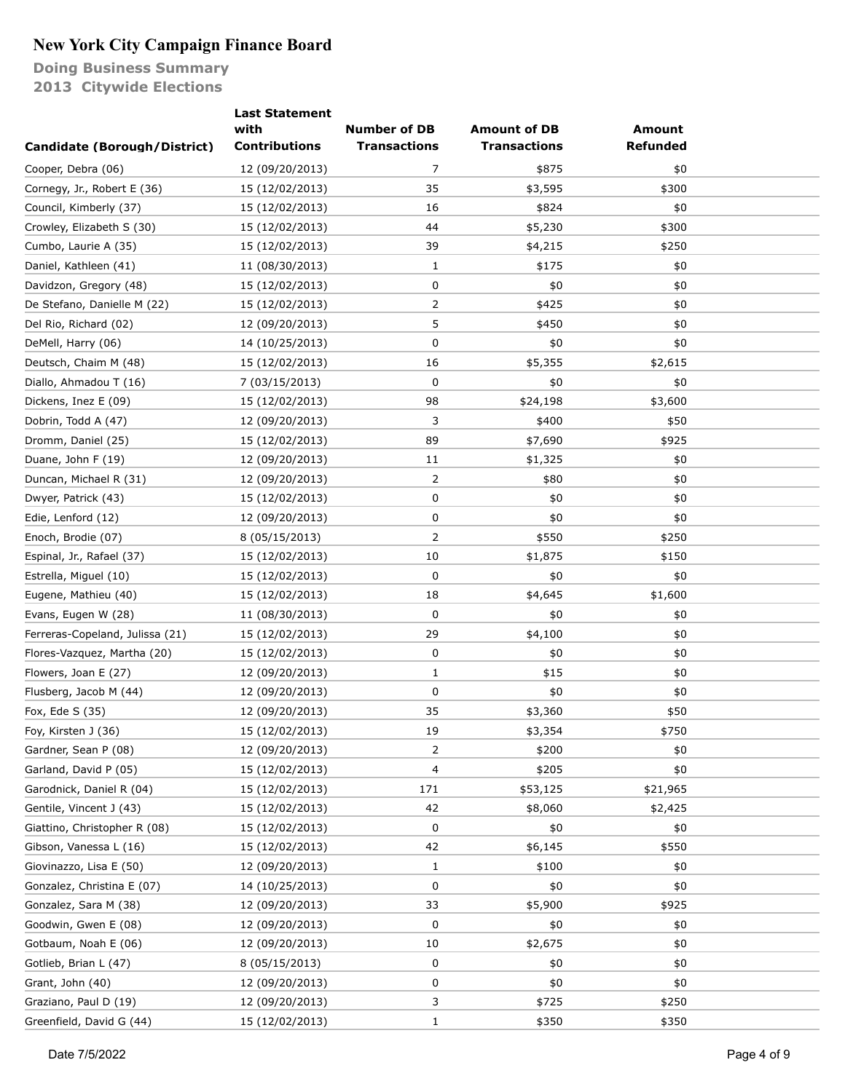|                                 | <b>Last Statement</b> |                     |                     |                 |  |
|---------------------------------|-----------------------|---------------------|---------------------|-----------------|--|
|                                 | with                  | <b>Number of DB</b> | <b>Amount of DB</b> | <b>Amount</b>   |  |
| Candidate (Borough/District)    | <b>Contributions</b>  | <b>Transactions</b> | <b>Transactions</b> | <b>Refunded</b> |  |
| Cooper, Debra (06)              | 12 (09/20/2013)       | 7                   | \$875               | \$0             |  |
| Cornegy, Jr., Robert E (36)     | 15 (12/02/2013)       | 35                  | \$3,595             | \$300           |  |
| Council, Kimberly (37)          | 15 (12/02/2013)       | 16                  | \$824               | \$0             |  |
| Crowley, Elizabeth S (30)       | 15 (12/02/2013)       | 44                  | \$5,230             | \$300           |  |
| Cumbo, Laurie A (35)            | 15 (12/02/2013)       | 39                  | \$4,215             | \$250           |  |
| Daniel, Kathleen (41)           | 11 (08/30/2013)       | 1                   | \$175               | \$0             |  |
| Davidzon, Gregory (48)          | 15 (12/02/2013)       | 0                   | \$0                 | \$0             |  |
| De Stefano, Danielle M (22)     | 15 (12/02/2013)       | 2                   | \$425               | \$0             |  |
| Del Rio, Richard (02)           | 12 (09/20/2013)       | 5                   | \$450               | \$0             |  |
| DeMell, Harry (06)              | 14 (10/25/2013)       | 0                   | \$0                 | \$0             |  |
| Deutsch, Chaim M (48)           | 15 (12/02/2013)       | 16                  | \$5,355             | \$2,615         |  |
| Diallo, Ahmadou T (16)          | 7 (03/15/2013)        | 0                   | \$0                 | \$0             |  |
| Dickens, Inez E (09)            | 15 (12/02/2013)       | 98                  | \$24,198            | \$3,600         |  |
| Dobrin, Todd A (47)             | 12 (09/20/2013)       | 3                   | \$400               | \$50            |  |
| Dromm, Daniel (25)              | 15 (12/02/2013)       | 89                  | \$7,690             | \$925           |  |
| Duane, John F (19)              | 12 (09/20/2013)       | 11                  | \$1,325             | \$0             |  |
| Duncan, Michael R (31)          | 12 (09/20/2013)       | 2                   | \$80                | \$0             |  |
| Dwyer, Patrick (43)             | 15 (12/02/2013)       | 0                   | \$0                 | \$0             |  |
| Edie, Lenford (12)              | 12 (09/20/2013)       | 0                   | \$0                 | \$0             |  |
| Enoch, Brodie (07)              | 8 (05/15/2013)        | 2                   | \$550               | \$250           |  |
| Espinal, Jr., Rafael (37)       | 15 (12/02/2013)       | 10                  | \$1,875             | \$150           |  |
| Estrella, Miguel (10)           | 15 (12/02/2013)       | 0                   | \$0                 | \$0             |  |
| Eugene, Mathieu (40)            | 15 (12/02/2013)       | 18                  | \$4,645             | \$1,600         |  |
| Evans, Eugen W (28)             | 11 (08/30/2013)       | 0                   | \$0                 | \$0             |  |
| Ferreras-Copeland, Julissa (21) | 15 (12/02/2013)       | 29                  | \$4,100             | \$0             |  |
| Flores-Vazquez, Martha (20)     | 15 (12/02/2013)       | 0                   | \$0                 | \$0             |  |
| Flowers, Joan E (27)            | 12 (09/20/2013)       | 1                   | \$15                | \$0             |  |
| Flusberg, Jacob M (44)          | 12 (09/20/2013)       | 0                   | \$0                 | \$0             |  |
| Fox, Ede S (35)                 | 12 (09/20/2013)       | 35                  | \$3,360             | \$50            |  |
| Foy, Kirsten J (36)             | 15 (12/02/2013)       | 19                  | \$3,354             | \$750           |  |
| Gardner, Sean P (08)            | 12 (09/20/2013)       | 2                   | \$200               | \$0             |  |
| Garland, David P (05)           | 15 (12/02/2013)       | 4                   | \$205               | \$0             |  |
| Garodnick, Daniel R (04)        | 15 (12/02/2013)       | 171                 | \$53,125            | \$21,965        |  |
| Gentile, Vincent J (43)         | 15 (12/02/2013)       | 42                  | \$8,060             | \$2,425         |  |
| Giattino, Christopher R (08)    | 15 (12/02/2013)       | 0                   | \$0                 | \$0             |  |
| Gibson, Vanessa L (16)          | 15 (12/02/2013)       | 42                  | \$6,145             | \$550           |  |
| Giovinazzo, Lisa E (50)         | 12 (09/20/2013)       | 1                   | \$100               | \$0             |  |
| Gonzalez, Christina E (07)      | 14 (10/25/2013)       | 0                   | \$0                 | \$0             |  |
| Gonzalez, Sara M (38)           | 12 (09/20/2013)       | 33                  | \$5,900             | \$925           |  |
| Goodwin, Gwen E (08)            | 12 (09/20/2013)       | 0                   | \$0                 | \$0             |  |
| Gotbaum, Noah E (06)            | 12 (09/20/2013)       | 10                  | \$2,675             | \$0             |  |
| Gotlieb, Brian L (47)           | 8 (05/15/2013)        | 0                   | \$0                 | \$0             |  |
| Grant, John (40)                |                       | 0                   | \$0                 | \$0             |  |
|                                 | 12 (09/20/2013)       |                     |                     |                 |  |
| Graziano, Paul D (19)           | 12 (09/20/2013)       | 3                   | \$725               | \$250           |  |
| Greenfield, David G (44)        | 15 (12/02/2013)       | $\mathbf{1}$        | \$350               | \$350           |  |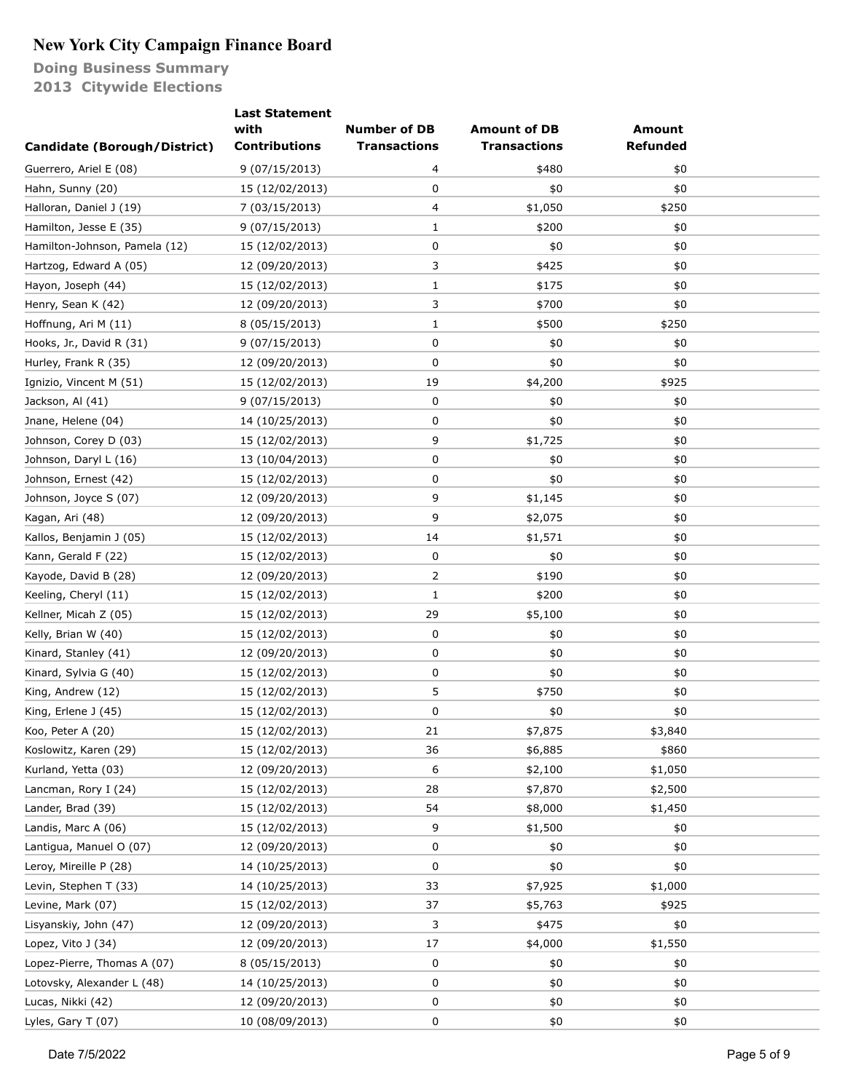|                               | <b>Last Statement</b> |                     |                     |               |  |
|-------------------------------|-----------------------|---------------------|---------------------|---------------|--|
|                               | with                  | <b>Number of DB</b> | <b>Amount of DB</b> | <b>Amount</b> |  |
| Candidate (Borough/District)  | <b>Contributions</b>  | <b>Transactions</b> | <b>Transactions</b> | Refunded      |  |
| Guerrero, Ariel E (08)        | 9 (07/15/2013)        | 4                   | \$480               | \$0           |  |
| Hahn, Sunny (20)              | 15 (12/02/2013)       | 0                   | \$0                 | \$0           |  |
| Halloran, Daniel J (19)       | 7 (03/15/2013)        | 4                   | \$1,050             | \$250         |  |
| Hamilton, Jesse E (35)        | 9(07/15/2013)         | $\mathbf{1}$        | \$200               | \$0           |  |
| Hamilton-Johnson, Pamela (12) | 15 (12/02/2013)       | 0                   | \$0                 | \$0           |  |
| Hartzog, Edward A (05)        | 12 (09/20/2013)       | 3                   | \$425               | \$0           |  |
| Hayon, Joseph (44)            | 15 (12/02/2013)       | $\mathbf{1}$        | \$175               | \$0           |  |
| Henry, Sean K (42)            | 12 (09/20/2013)       | 3                   | \$700               | \$0           |  |
| Hoffnung, Ari M (11)          | 8 (05/15/2013)        | $\mathbf{1}$        | \$500               | \$250         |  |
| Hooks, Jr., David R (31)      | 9(07/15/2013)         | 0                   | \$0                 | \$0           |  |
| Hurley, Frank R (35)          | 12 (09/20/2013)       | 0                   | \$0                 | \$0           |  |
| Ignizio, Vincent M (51)       | 15 (12/02/2013)       | 19                  | \$4,200             | \$925         |  |
| Jackson, Al (41)              | 9(07/15/2013)         | 0                   | \$0                 | \$0           |  |
| Jnane, Helene (04)            | 14 (10/25/2013)       | 0                   | \$0                 | \$0           |  |
| Johnson, Corey D (03)         | 15 (12/02/2013)       | 9                   | \$1,725             | \$0           |  |
| Johnson, Daryl L (16)         | 13 (10/04/2013)       | 0                   | \$0                 | \$0           |  |
| Johnson, Ernest (42)          | 15 (12/02/2013)       | 0                   | \$0                 | \$0           |  |
| Johnson, Joyce S (07)         | 12 (09/20/2013)       | 9                   | \$1,145             | \$0           |  |
| Kagan, Ari (48)               | 12 (09/20/2013)       | 9                   | \$2,075             | \$0           |  |
| Kallos, Benjamin J (05)       | 15 (12/02/2013)       | 14                  | \$1,571             | \$0           |  |
| Kann, Gerald F (22)           | 15 (12/02/2013)       | 0                   | \$0                 | \$0           |  |
| Kayode, David B (28)          | 12 (09/20/2013)       | 2                   | \$190               | \$0           |  |
| Keeling, Cheryl (11)          | 15 (12/02/2013)       | 1                   | \$200               | \$0           |  |
| Kellner, Micah Z (05)         | 15 (12/02/2013)       | 29                  | \$5,100             | \$0           |  |
| Kelly, Brian W (40)           | 15 (12/02/2013)       | 0                   | \$0                 | \$0           |  |
| Kinard, Stanley (41)          | 12 (09/20/2013)       | 0                   | \$0                 | \$0           |  |
| Kinard, Sylvia G (40)         | 15 (12/02/2013)       | 0                   | \$0                 | \$0           |  |
| King, Andrew (12)             | 15 (12/02/2013)       | 5                   | \$750               | \$0           |  |
| King, Erlene J (45)           | 15 (12/02/2013)       | 0                   | \$0                 | \$0           |  |
| Koo, Peter A (20)             | 15 (12/02/2013)       | 21                  | \$7,875             | \$3,840       |  |
| Koslowitz, Karen (29)         | 15 (12/02/2013)       | 36                  | \$6,885             | \$860         |  |
| Kurland, Yetta (03)           | 12 (09/20/2013)       | 6                   | \$2,100             | \$1,050       |  |
| Lancman, Rory I (24)          | 15 (12/02/2013)       | 28                  | \$7,870             | \$2,500       |  |
| Lander, Brad (39)             | 15 (12/02/2013)       | 54                  | \$8,000             | \$1,450       |  |
| Landis, Marc A (06)           | 15 (12/02/2013)       | 9                   | \$1,500             | \$0           |  |
| Lantigua, Manuel O (07)       | 12 (09/20/2013)       | 0                   | \$0                 | \$0           |  |
| Leroy, Mireille P (28)        | 14 (10/25/2013)       | 0                   | \$0                 | \$0           |  |
| Levin, Stephen T (33)         | 14 (10/25/2013)       | 33                  | \$7,925             | \$1,000       |  |
| Levine, Mark (07)             | 15 (12/02/2013)       | 37                  | \$5,763             | \$925         |  |
| Lisyanskiy, John (47)         | 12 (09/20/2013)       | 3                   | \$475               | \$0           |  |
| Lopez, Vito J (34)            | 12 (09/20/2013)       | 17                  | \$4,000             | \$1,550       |  |
|                               |                       |                     |                     |               |  |
| Lopez-Pierre, Thomas A (07)   | 8 (05/15/2013)        | 0                   | \$0                 | \$0           |  |
| Lotovsky, Alexander L (48)    | 14 (10/25/2013)       | 0                   | \$0                 | \$0           |  |
| Lucas, Nikki (42)             | 12 (09/20/2013)       | 0                   | \$0                 | \$0           |  |
| Lyles, Gary T (07)            | 10 (08/09/2013)       | 0                   | \$0                 | \$0           |  |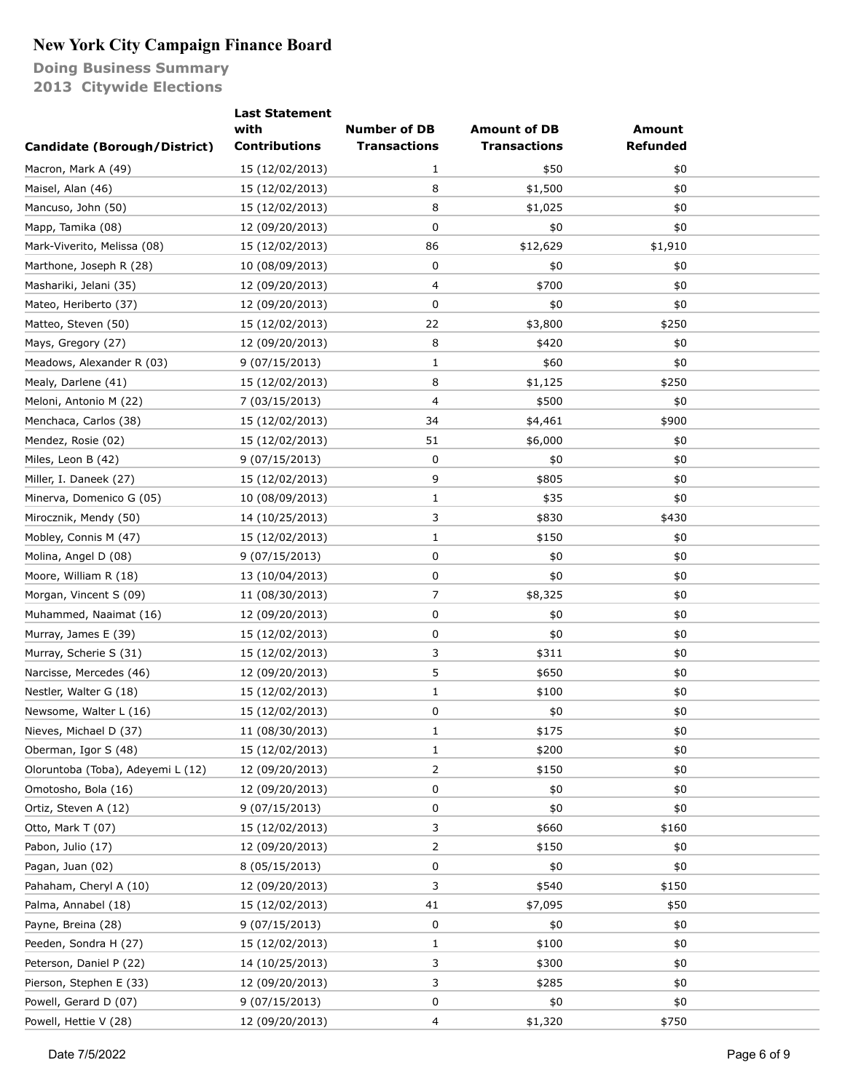|                                   | <b>Last Statement</b> |                     |                     |                 |  |
|-----------------------------------|-----------------------|---------------------|---------------------|-----------------|--|
|                                   | with                  | <b>Number of DB</b> | <b>Amount of DB</b> | <b>Amount</b>   |  |
| Candidate (Borough/District)      | <b>Contributions</b>  | <b>Transactions</b> | <b>Transactions</b> | <b>Refunded</b> |  |
| Macron, Mark A (49)               | 15 (12/02/2013)       | 1                   | \$50                | \$0             |  |
| Maisel, Alan (46)                 | 15 (12/02/2013)       | 8                   | \$1,500             | \$0             |  |
| Mancuso, John (50)                | 15 (12/02/2013)       | 8                   | \$1,025             | \$0             |  |
| Mapp, Tamika (08)                 | 12 (09/20/2013)       | 0                   | \$0                 | \$0             |  |
| Mark-Viverito, Melissa (08)       | 15 (12/02/2013)       | 86                  | \$12,629            | \$1,910         |  |
| Marthone, Joseph R (28)           | 10 (08/09/2013)       | 0                   | \$0                 | \$0             |  |
| Mashariki, Jelani (35)            | 12 (09/20/2013)       | 4                   | \$700               | \$0             |  |
| Mateo, Heriberto (37)             | 12 (09/20/2013)       | 0                   | \$0                 | \$0             |  |
| Matteo, Steven (50)               | 15 (12/02/2013)       | 22                  | \$3,800             | \$250           |  |
| Mays, Gregory (27)                | 12 (09/20/2013)       | 8                   | \$420               | \$0             |  |
| Meadows, Alexander R (03)         | 9(07/15/2013)         | 1                   | \$60                | \$0             |  |
| Mealy, Darlene (41)               | 15 (12/02/2013)       | 8                   | \$1,125             | \$250           |  |
| Meloni, Antonio M (22)            | 7 (03/15/2013)        | 4                   | \$500               | \$0             |  |
| Menchaca, Carlos (38)             | 15 (12/02/2013)       | 34                  | \$4,461             | \$900           |  |
| Mendez, Rosie (02)                | 15 (12/02/2013)       | 51                  | \$6,000             | \$0             |  |
| Miles, Leon B (42)                | 9 (07/15/2013)        | 0                   | \$0                 | \$0             |  |
| Miller, I. Daneek (27)            | 15 (12/02/2013)       | 9                   | \$805               | \$0             |  |
| Minerva, Domenico G (05)          | 10 (08/09/2013)       | 1                   | \$35                | \$0             |  |
| Mirocznik, Mendy (50)             | 14 (10/25/2013)       | 3                   | \$830               | \$430           |  |
| Mobley, Connis M (47)             | 15 (12/02/2013)       | $\mathbf{1}$        | \$150               | \$0             |  |
| Molina, Angel D (08)              | 9(07/15/2013)         | 0                   | \$0                 | \$0             |  |
| Moore, William R (18)             | 13 (10/04/2013)       | 0                   | \$0                 | \$0             |  |
| Morgan, Vincent S (09)            | 11 (08/30/2013)       | 7                   | \$8,325             | \$0             |  |
| Muhammed, Naaimat (16)            | 12 (09/20/2013)       | 0                   | \$0                 | \$0             |  |
| Murray, James E (39)              | 15 (12/02/2013)       | 0                   | \$0                 | \$0             |  |
| Murray, Scherie S (31)            | 15 (12/02/2013)       | 3                   | \$311               | \$0             |  |
| Narcisse, Mercedes (46)           | 12 (09/20/2013)       | 5                   | \$650               | \$0             |  |
| Nestler, Walter G (18)            | 15 (12/02/2013)       | 1                   | \$100               | \$0             |  |
| Newsome, Walter L (16)            | 15 (12/02/2013)       | 0                   | \$0                 | \$0             |  |
| Nieves, Michael D (37)            | 11 (08/30/2013)       | 1                   | \$175               | \$0             |  |
| Oberman, Igor S (48)              | 15 (12/02/2013)       | 1                   | \$200               | \$0             |  |
| Oloruntoba (Toba), Adeyemi L (12) | 12 (09/20/2013)       | 2                   | \$150               | \$0             |  |
| Omotosho, Bola (16)               | 12 (09/20/2013)       | 0                   | \$0                 | \$0             |  |
| Ortiz, Steven A (12)              | 9(07/15/2013)         | 0                   | \$0                 | \$0             |  |
| Otto, Mark T (07)                 | 15 (12/02/2013)       | 3                   | \$660               | \$160           |  |
| Pabon, Julio (17)                 | 12 (09/20/2013)       | 2                   | \$150               | \$0             |  |
| Pagan, Juan (02)                  | 8 (05/15/2013)        | 0                   | \$0                 | \$0             |  |
| Pahaham, Cheryl A (10)            | 12 (09/20/2013)       | 3                   | \$540               | \$150           |  |
| Palma, Annabel (18)               | 15 (12/02/2013)       | 41                  | \$7,095             | \$50            |  |
| Payne, Breina (28)                | 9 (07/15/2013)        | 0                   | \$0                 | \$0             |  |
| Peeden, Sondra H (27)             | 15 (12/02/2013)       | 1                   | \$100               | \$0             |  |
| Peterson, Daniel P (22)           | 14 (10/25/2013)       | 3                   | \$300               | \$0             |  |
| Pierson, Stephen E (33)           | 12 (09/20/2013)       | 3                   | \$285               | \$0             |  |
| Powell, Gerard D (07)             | 9 (07/15/2013)        | 0                   | \$0                 | \$0             |  |
| Powell, Hettie V (28)             | 12 (09/20/2013)       | 4                   | \$1,320             | \$750           |  |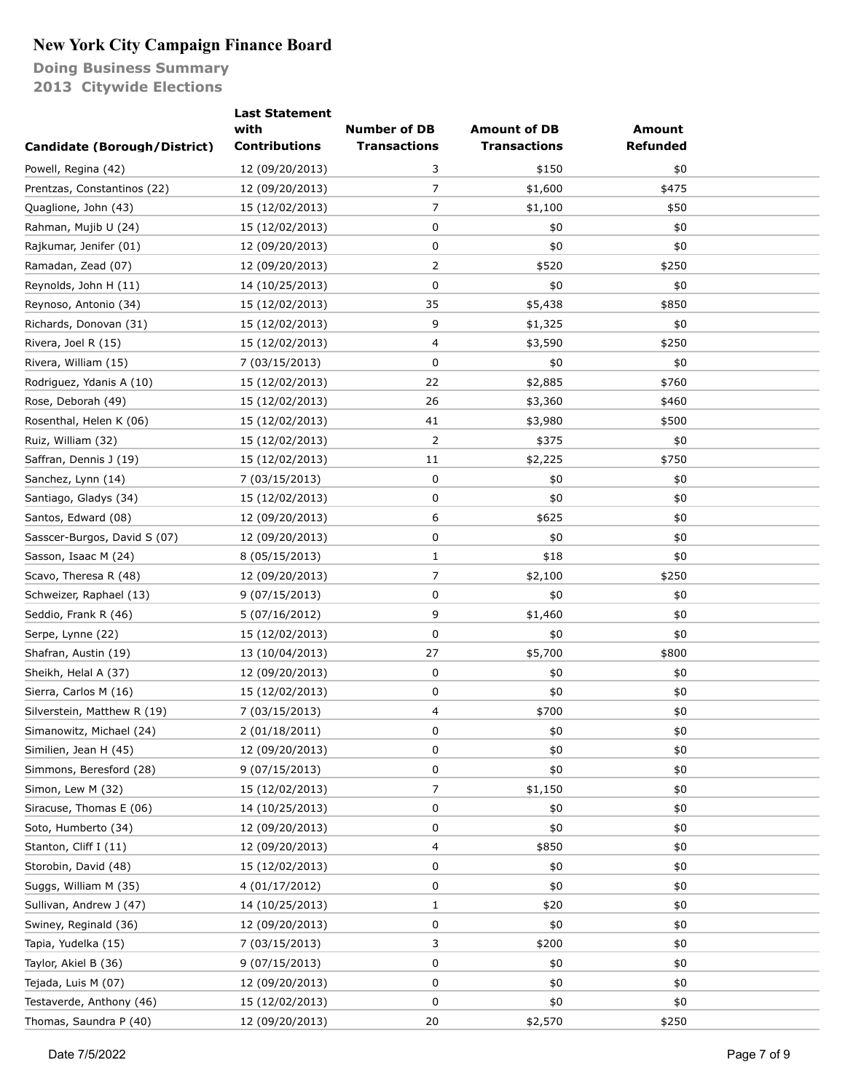|                              | <b>Last Statement</b> |                     |                     |                 |  |
|------------------------------|-----------------------|---------------------|---------------------|-----------------|--|
|                              | with                  | <b>Number of DB</b> | <b>Amount of DB</b> | <b>Amount</b>   |  |
| Candidate (Borough/District) | <b>Contributions</b>  | <b>Transactions</b> | <b>Transactions</b> | <b>Refunded</b> |  |
| Powell, Regina (42)          | 12 (09/20/2013)       | 3                   | \$150               | \$0             |  |
| Prentzas, Constantinos (22)  | 12 (09/20/2013)       | 7                   | \$1,600             | \$475           |  |
| Quaglione, John (43)         | 15 (12/02/2013)       | 7                   | \$1,100             | \$50            |  |
| Rahman, Mujib U (24)         | 15 (12/02/2013)       | 0                   | \$0                 | \$0             |  |
| Rajkumar, Jenifer (01)       | 12 (09/20/2013)       | 0                   | \$0                 | \$0             |  |
| Ramadan, Zead (07)           | 12 (09/20/2013)       | 2                   | \$520               | \$250           |  |
| Reynolds, John H (11)        | 14 (10/25/2013)       | 0                   | \$0                 | \$0             |  |
| Reynoso, Antonio (34)        | 15 (12/02/2013)       | 35                  | \$5,438             | \$850           |  |
| Richards, Donovan (31)       | 15 (12/02/2013)       | 9                   | \$1,325             | \$0             |  |
| Rivera, Joel R (15)          | 15 (12/02/2013)       | 4                   | \$3,590             | \$250           |  |
| Rivera, William (15)         | 7 (03/15/2013)        | 0                   | \$0                 | \$0             |  |
| Rodriguez, Ydanis A (10)     | 15 (12/02/2013)       | 22                  | \$2,885             | \$760           |  |
| Rose, Deborah (49)           | 15 (12/02/2013)       | 26                  | \$3,360             | \$460           |  |
| Rosenthal, Helen K (06)      | 15 (12/02/2013)       | 41                  | \$3,980             | \$500           |  |
| Ruiz, William (32)           | 15 (12/02/2013)       | 2                   | \$375               | \$0             |  |
| Saffran, Dennis J (19)       | 15 (12/02/2013)       | 11                  | \$2,225             | \$750           |  |
| Sanchez, Lynn (14)           | 7 (03/15/2013)        | 0                   | \$0                 | \$0             |  |
| Santiago, Gladys (34)        | 15 (12/02/2013)       | 0                   | \$0                 | \$0             |  |
| Santos, Edward (08)          | 12 (09/20/2013)       | 6                   | \$625               | \$0             |  |
| Sasscer-Burgos, David S (07) | 12 (09/20/2013)       | 0                   | \$0                 | \$0             |  |
| Sasson, Isaac M (24)         | 8 (05/15/2013)        | 1                   | \$18                | \$0             |  |
| Scavo, Theresa R (48)        | 12 (09/20/2013)       | 7                   | \$2,100             | \$250           |  |
| Schweizer, Raphael (13)      | 9(07/15/2013)         | 0                   | \$0                 | \$0             |  |
| Seddio, Frank R (46)         | 5 (07/16/2012)        | 9                   | \$1,460             | \$0             |  |
| Serpe, Lynne (22)            | 15 (12/02/2013)       | 0                   | \$0                 | \$0             |  |
| Shafran, Austin (19)         | 13 (10/04/2013)       | 27                  | \$5,700             | \$800           |  |
| Sheikh, Helal A (37)         | 12 (09/20/2013)       | 0                   | \$0                 | \$0             |  |
| Sierra, Carlos M (16)        | 15 (12/02/2013)       | 0                   | \$0                 | \$0             |  |
| Silverstein, Matthew R (19)  | 7 (03/15/2013)        | 4                   | \$700               | \$0             |  |
| Simanowitz, Michael (24)     | 2 (01/18/2011)        | 0                   | $$0$$               | \$0             |  |
| Similien, Jean H (45)        | 12 (09/20/2013)       | 0                   | \$0                 | \$0             |  |
| Simmons, Beresford (28)      | 9 (07/15/2013)        | 0                   | \$0                 | \$0             |  |
| Simon, Lew M (32)            | 15 (12/02/2013)       | 7                   | \$1,150             | \$0             |  |
| Siracuse, Thomas E (06)      | 14 (10/25/2013)       | 0                   | \$0                 | \$0             |  |
| Soto, Humberto (34)          | 12 (09/20/2013)       | 0                   | \$0                 | \$0             |  |
| Stanton, Cliff I (11)        | 12 (09/20/2013)       | 4                   | \$850               | \$0             |  |
| Storobin, David (48)         | 15 (12/02/2013)       | 0                   | \$0                 | \$0             |  |
| Suggs, William M (35)        | 4 (01/17/2012)        | 0                   | \$0                 | \$0             |  |
| Sullivan, Andrew J (47)      | 14 (10/25/2013)       | 1                   | \$20                | \$0             |  |
| Swiney, Reginald (36)        | 12 (09/20/2013)       | 0                   | \$0                 | \$0             |  |
| Tapia, Yudelka (15)          | 7 (03/15/2013)        | 3                   | \$200               | \$0             |  |
| Taylor, Akiel B (36)         | 9(07/15/2013)         | 0                   | \$0                 | \$0             |  |
| Tejada, Luis M (07)          | 12 (09/20/2013)       | 0                   | \$0                 | \$0             |  |
| Testaverde, Anthony (46)     | 15 (12/02/2013)       | 0                   | \$0                 | \$0             |  |
| Thomas, Saundra P (40)       | 12 (09/20/2013)       | 20                  | \$2,570             | \$250           |  |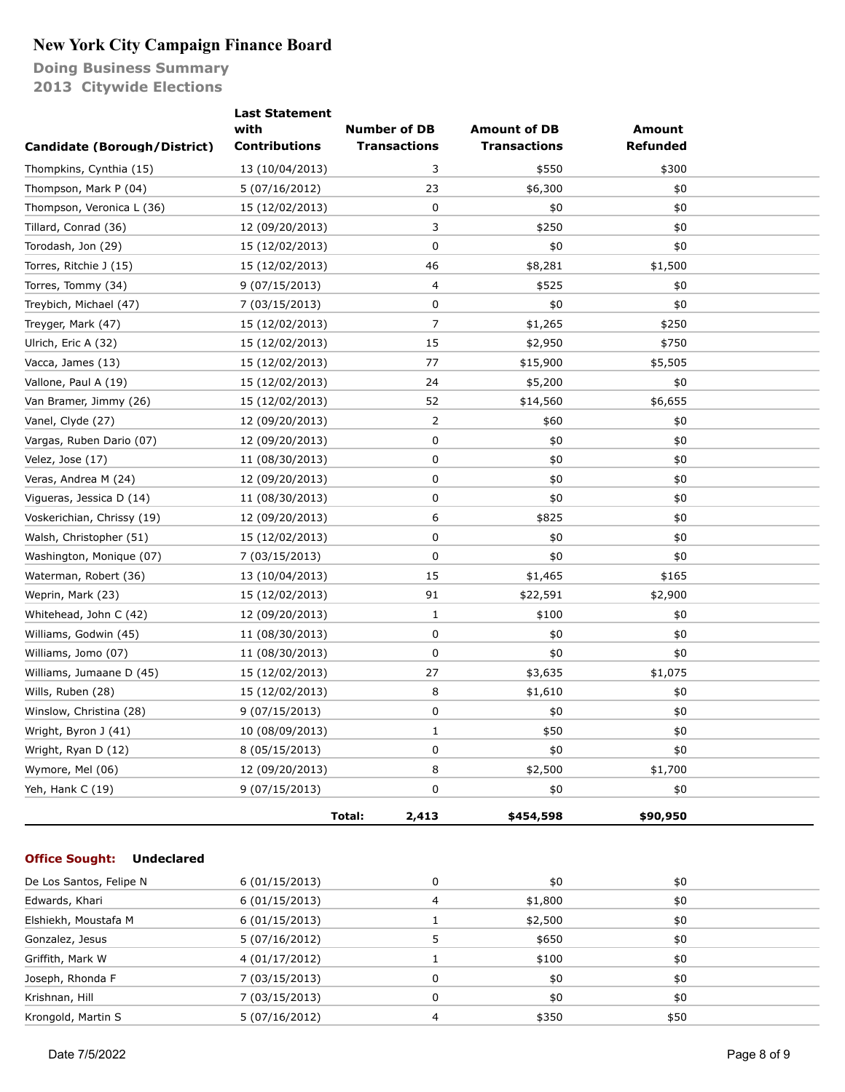**Doing Business Summary 2013 Citywide Elections**

|                                            | <b>Last Statement</b> |                     |                     |                 |  |
|--------------------------------------------|-----------------------|---------------------|---------------------|-----------------|--|
|                                            | with                  | <b>Number of DB</b> | <b>Amount of DB</b> | <b>Amount</b>   |  |
| <b>Candidate (Borough/District)</b>        | <b>Contributions</b>  | <b>Transactions</b> | <b>Transactions</b> | <b>Refunded</b> |  |
| Thompkins, Cynthia (15)                    | 13 (10/04/2013)       | 3                   | \$550               | \$300           |  |
| Thompson, Mark P (04)                      | 5 (07/16/2012)        | 23                  | \$6,300             | \$0             |  |
| Thompson, Veronica L (36)                  | 15 (12/02/2013)       | 0                   | \$0                 | \$0             |  |
| Tillard, Conrad (36)                       | 12 (09/20/2013)       | 3                   | \$250               | \$0             |  |
| Torodash, Jon (29)                         | 15 (12/02/2013)       | 0                   | \$0                 | \$0             |  |
| Torres, Ritchie J (15)                     | 15 (12/02/2013)       | 46                  | \$8,281             | \$1,500         |  |
| Torres, Tommy (34)                         | 9(07/15/2013)         | 4                   | \$525               | \$0             |  |
| Treybich, Michael (47)                     | 7 (03/15/2013)        | 0                   | \$0                 | \$0             |  |
| Treyger, Mark (47)                         | 15 (12/02/2013)       | 7                   | \$1,265             | \$250           |  |
| Ulrich, Eric A (32)                        | 15 (12/02/2013)       | 15                  | \$2,950             | \$750           |  |
| Vacca, James (13)                          | 15 (12/02/2013)       | 77                  | \$15,900            | \$5,505         |  |
| Vallone, Paul A (19)                       | 15 (12/02/2013)       | 24                  | \$5,200             | \$0             |  |
| Van Bramer, Jimmy (26)                     | 15 (12/02/2013)       | 52                  | \$14,560            | \$6,655         |  |
| Vanel, Clyde (27)                          | 12 (09/20/2013)       | 2                   | \$60                | \$0             |  |
| Vargas, Ruben Dario (07)                   | 12 (09/20/2013)       | 0                   | \$0                 | \$0             |  |
| Velez, Jose (17)                           | 11 (08/30/2013)       | 0                   | \$0                 | \$0             |  |
| Veras, Andrea M (24)                       | 12 (09/20/2013)       | 0                   | \$0                 | \$0             |  |
| Vigueras, Jessica D (14)                   | 11 (08/30/2013)       | 0                   | \$0                 | \$0             |  |
| Voskerichian, Chrissy (19)                 | 12 (09/20/2013)       | 6                   | \$825               | \$0             |  |
| Walsh, Christopher (51)                    | 15 (12/02/2013)       | 0                   | \$0                 | \$0             |  |
| Washington, Monique (07)                   | 7 (03/15/2013)        | 0                   | \$0                 | \$0             |  |
| Waterman, Robert (36)                      | 13 (10/04/2013)       | 15                  | \$1,465             | \$165           |  |
| Weprin, Mark (23)                          | 15 (12/02/2013)       | 91                  | \$22,591            | \$2,900         |  |
| Whitehead, John C (42)                     | 12 (09/20/2013)       | 1                   | \$100               | \$0             |  |
| Williams, Godwin (45)                      | 11 (08/30/2013)       | 0                   | \$0                 | \$0             |  |
| Williams, Jomo (07)                        | 11 (08/30/2013)       | 0                   | \$0                 | \$0             |  |
| Williams, Jumaane D (45)                   | 15 (12/02/2013)       | 27                  | \$3,635             | \$1,075         |  |
| Wills, Ruben (28)                          | 15 (12/02/2013)       | 8                   | \$1,610             | \$0             |  |
| Winslow, Christina (28)                    | 9 (07/15/2013)        | 0                   | \$0                 | \$0             |  |
| Wright, Byron J (41)                       | 10 (08/09/2013)       | 1                   | \$50                | \$0             |  |
| Wright, Ryan D (12)                        | 8 (05/15/2013)        | 0                   | \$0                 | \$0             |  |
| Wymore, Mel (06)                           | 12 (09/20/2013)       | 8                   | \$2,500             | \$1,700         |  |
| Yeh, Hank C (19)                           | 9(07/15/2013)         | 0                   | \$0                 | \$0             |  |
|                                            |                       |                     |                     |                 |  |
|                                            |                       | Total:<br>2,413     | \$454,598           | \$90,950        |  |
|                                            |                       |                     |                     |                 |  |
| <b>Office Sought:</b><br><b>Undeclared</b> |                       |                     |                     |                 |  |
| De Los Santos, Felipe N                    | 6 (01/15/2013)        | 0                   | \$0                 | \$0             |  |
| Edwards, Khari                             | 6(01/15/2013)         | 4                   | \$1,800             | \$0             |  |
| Elshiekh, Moustafa M                       | 6(01/15/2013)         | $\mathbf{1}$        | \$2,500             | \$0             |  |
| Gonzalez, Jesus                            | 5 (07/16/2012)        | 5                   | \$650               | \$0             |  |
| Griffith, Mark W                           | 4 (01/17/2012)        | $\mathbf{1}$        | \$100               | \$0             |  |
| Joseph, Rhonda F                           | 7 (03/15/2013)        | 0                   | \$0                 | \$0             |  |
| Krishnan, Hill                             | 7 (03/15/2013)        | 0                   | \$0                 | \$0             |  |

Krongold, Martin S 5 (07/16/2012) 4 \$350 \$50